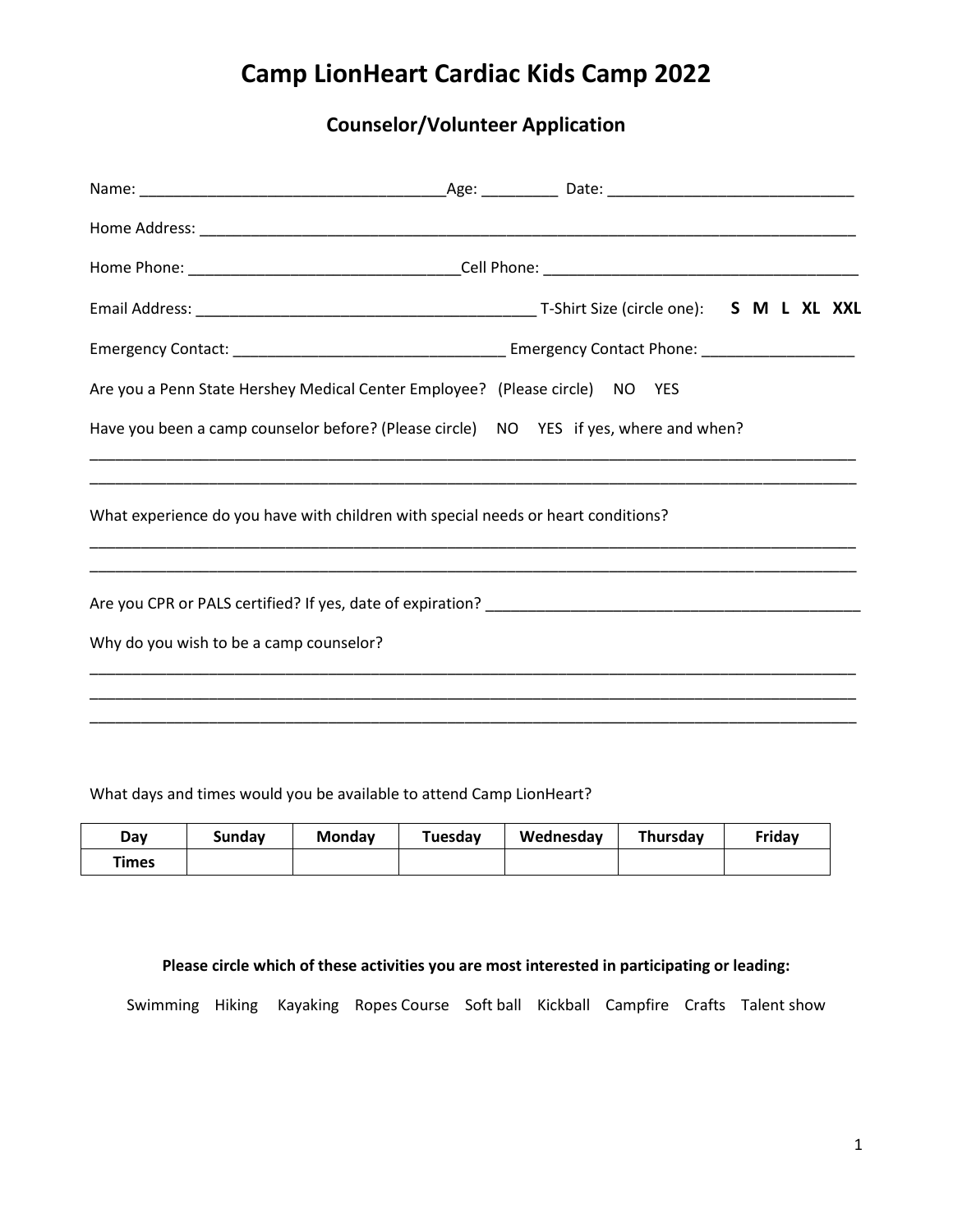# **Counselor/Volunteer Application**

| Are you a Penn State Hershey Medical Center Employee? (Please circle) NO YES          |  |  |  |
|---------------------------------------------------------------------------------------|--|--|--|
| Have you been a camp counselor before? (Please circle) NO YES if yes, where and when? |  |  |  |
| What experience do you have with children with special needs or heart conditions?     |  |  |  |
|                                                                                       |  |  |  |
| Why do you wish to be a camp counselor?                                               |  |  |  |
|                                                                                       |  |  |  |
|                                                                                       |  |  |  |

What days and times would you be available to attend Camp LionHeart?

| Dav          | <b>Sunday</b> | <b>Monday</b> | Tuesday | Wednesday | Thursday | Friday |
|--------------|---------------|---------------|---------|-----------|----------|--------|
| <b>Times</b> |               |               |         |           |          |        |

#### **Please circle which of these activities you are most interested in participating or leading:**

Swimming Hiking Kayaking Ropes Course Soft ball Kickball Campfire Crafts Talent show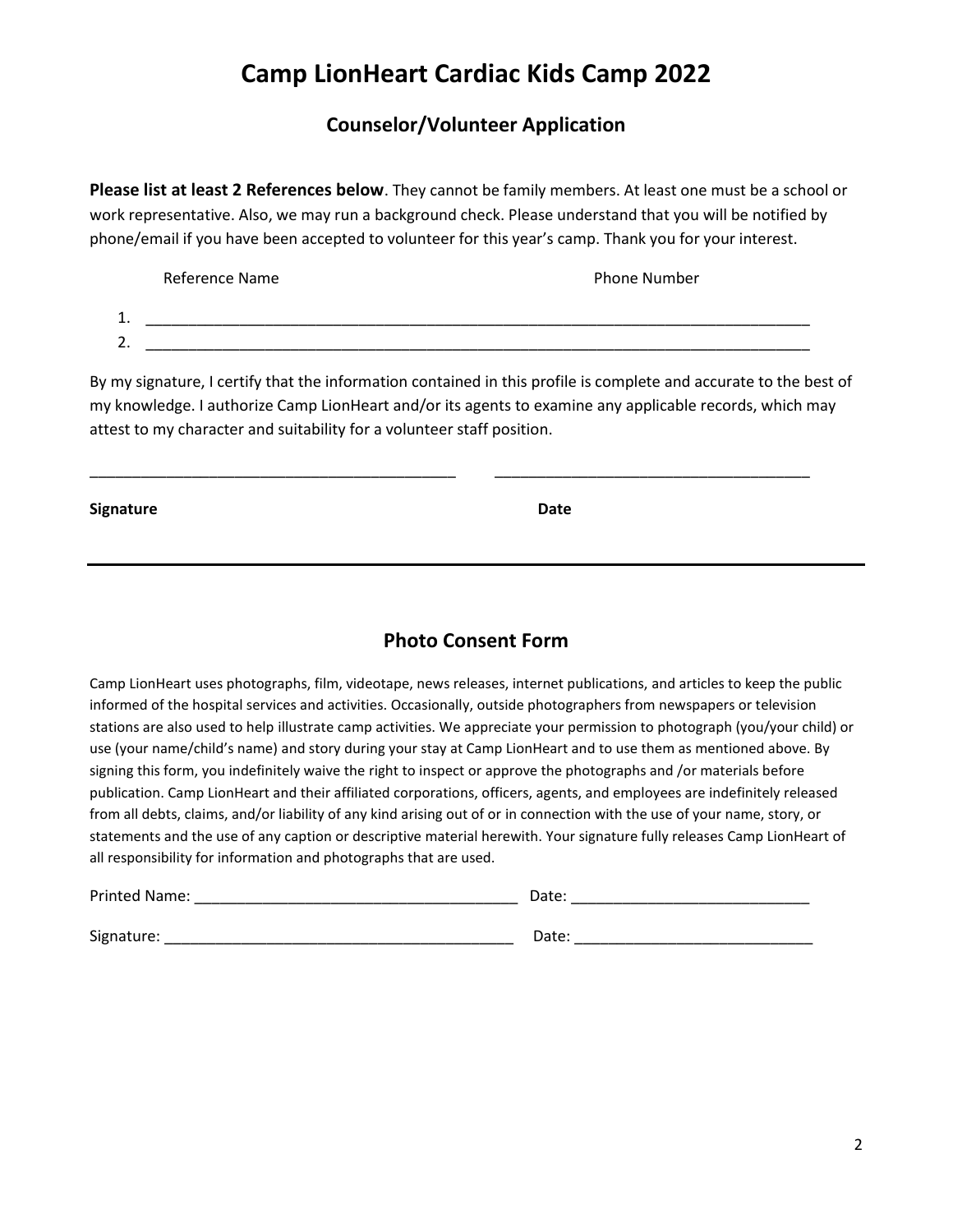#### **Counselor/Volunteer Application**

**Please list at least 2 References below**. They cannot be family members. At least one must be a school or work representative. Also, we may run a background check. Please understand that you will be notified by phone/email if you have been accepted to volunteer for this year's camp. Thank you for your interest.

|          | Reference Name | <b>Phone Number</b> |
|----------|----------------|---------------------|
| .        |                |                     |
| <u>.</u> |                |                     |

By my signature, I certify that the information contained in this profile is complete and accurate to the best of my knowledge. I authorize Camp LionHeart and/or its agents to examine any applicable records, which may attest to my character and suitability for a volunteer staff position.

\_\_\_\_\_\_\_\_\_\_\_\_\_\_\_\_\_\_\_\_\_\_\_\_\_\_\_\_\_\_\_\_\_\_\_\_\_\_\_\_\_\_\_ \_\_\_\_\_\_\_\_\_\_\_\_\_\_\_\_\_\_\_\_\_\_\_\_\_\_\_\_\_\_\_\_\_\_\_\_\_

| Signature | Date |  |
|-----------|------|--|
|           |      |  |

### **Photo Consent Form**

Camp LionHeart uses photographs, film, videotape, news releases, internet publications, and articles to keep the public informed of the hospital services and activities. Occasionally, outside photographers from newspapers or television stations are also used to help illustrate camp activities. We appreciate your permission to photograph (you/your child) or use (your name/child's name) and story during your stay at Camp LionHeart and to use them as mentioned above. By signing this form, you indefinitely waive the right to inspect or approve the photographs and /or materials before publication. Camp LionHeart and their affiliated corporations, officers, agents, and employees are indefinitely released from all debts, claims, and/or liability of any kind arising out of or in connection with the use of your name, story, or statements and the use of any caption or descriptive material herewith. Your signature fully releases Camp LionHeart of all responsibility for information and photographs that are used.

| Printed Name: | Date: |  |
|---------------|-------|--|
| Signature:    | Date: |  |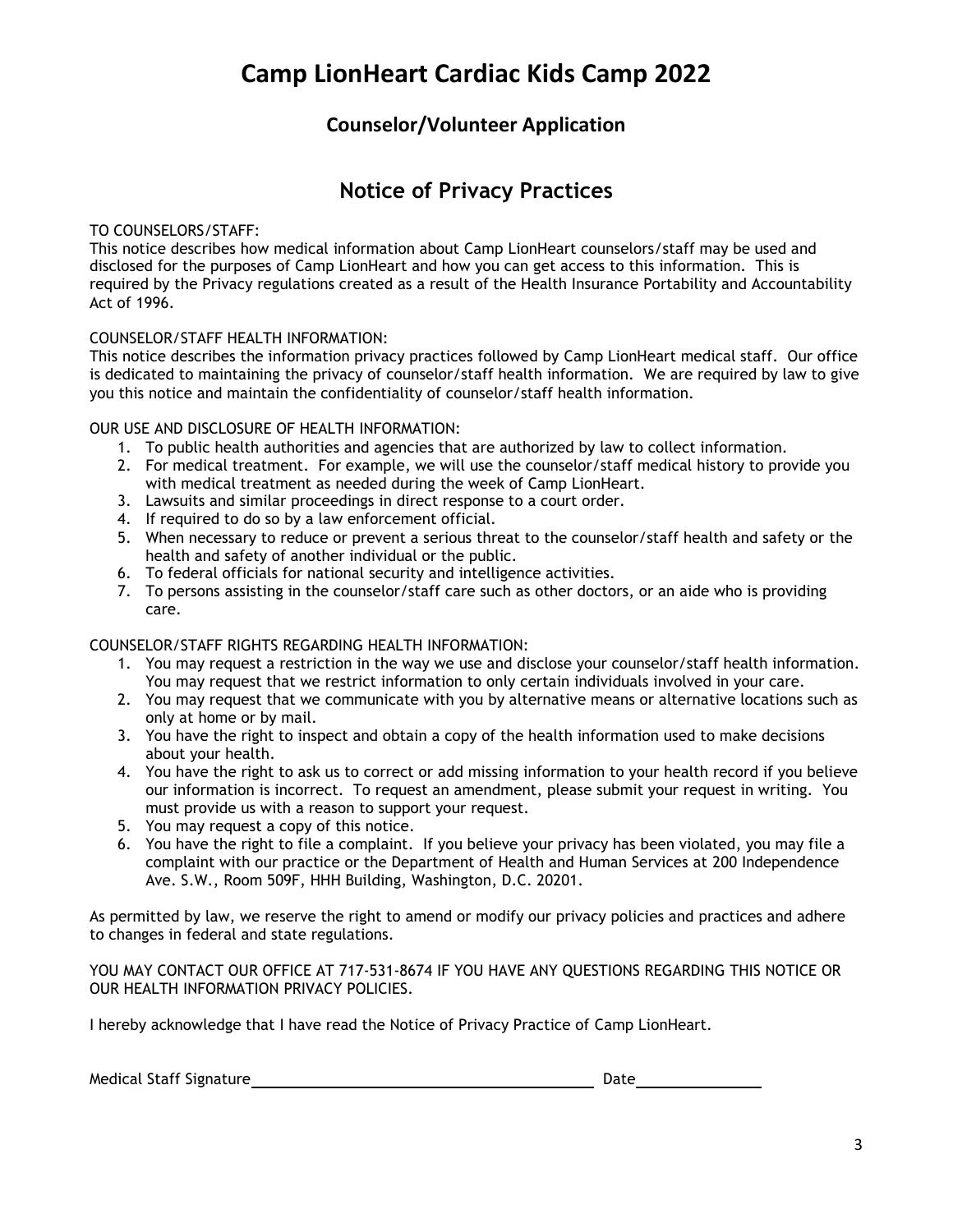#### **Counselor/Volunteer Application**

## **Notice of Privacy Practices**

#### TO COUNSELORS/STAFF:

This notice describes how medical information about Camp LionHeart counselors/staff may be used and disclosed for the purposes of Camp LionHeart and how you can get access to this information. This is required by the Privacy regulations created as a result of the Health Insurance Portability and Accountability Act of 1996.

#### COUNSELOR/STAFF HEALTH INFORMATION:

This notice describes the information privacy practices followed by Camp LionHeart medical staff. Our office is dedicated to maintaining the privacy of counselor/staff health information. We are required by law to give you this notice and maintain the confidentiality of counselor/staff health information.

#### OUR USE AND DISCLOSURE OF HEALTH INFORMATION:

- 1. To public health authorities and agencies that are authorized by law to collect information.
- 2. For medical treatment. For example, we will use the counselor/staff medical history to provide you with medical treatment as needed during the week of Camp LionHeart.
- 3. Lawsuits and similar proceedings in direct response to a court order.
- 4. If required to do so by a law enforcement official.
- 5. When necessary to reduce or prevent a serious threat to the counselor/staff health and safety or the health and safety of another individual or the public.
- 6. To federal officials for national security and intelligence activities.
- 7. To persons assisting in the counselor/staff care such as other doctors, or an aide who is providing care.

#### COUNSELOR/STAFF RIGHTS REGARDING HEALTH INFORMATION:

- 1. You may request a restriction in the way we use and disclose your counselor/staff health information. You may request that we restrict information to only certain individuals involved in your care.
- 2. You may request that we communicate with you by alternative means or alternative locations such as only at home or by mail.
- 3. You have the right to inspect and obtain a copy of the health information used to make decisions about your health.
- 4. You have the right to ask us to correct or add missing information to your health record if you believe our information is incorrect. To request an amendment, please submit your request in writing. You must provide us with a reason to support your request.
- 5. You may request a copy of this notice.
- 6. You have the right to file a complaint. If you believe your privacy has been violated, you may file a complaint with our practice or the Department of Health and Human Services at 200 Independence Ave. S.W., Room 509F, HHH Building, Washington, D.C. 20201.

As permitted by law, we reserve the right to amend or modify our privacy policies and practices and adhere to changes in federal and state regulations.

YOU MAY CONTACT OUR OFFICE AT 717-531-8674 IF YOU HAVE ANY QUESTIONS REGARDING THIS NOTICE OR OUR HEALTH INFORMATION PRIVACY POLICIES.

I hereby acknowledge that I have read the Notice of Privacy Practice of Camp LionHeart.

Medical Staff Signature Date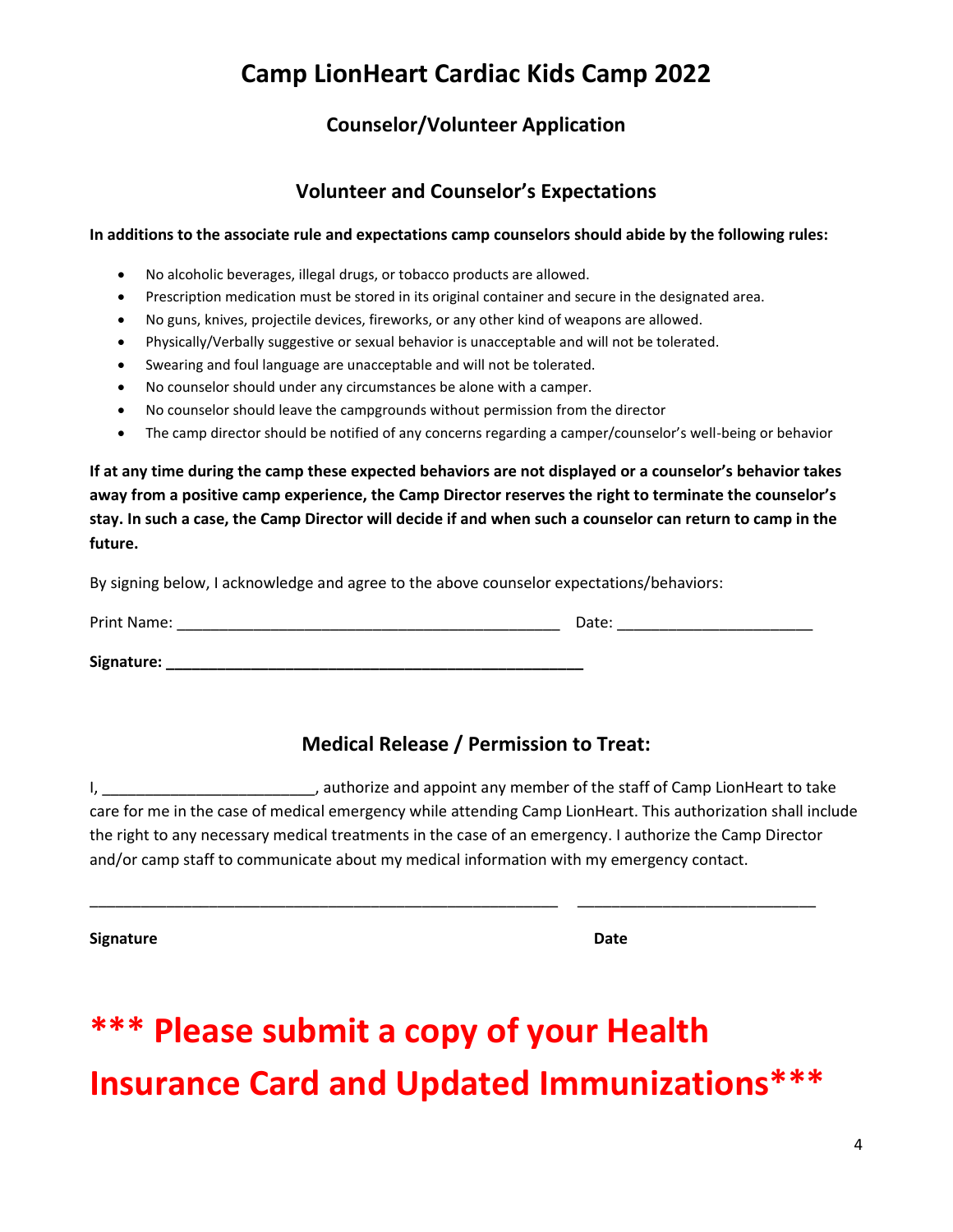## **Counselor/Volunteer Application**

### **Volunteer and Counselor's Expectations**

#### **In additions to the associate rule and expectations camp counselors should abide by the following rules:**

- No alcoholic beverages, illegal drugs, or tobacco products are allowed.
- Prescription medication must be stored in its original container and secure in the designated area.
- No guns, knives, projectile devices, fireworks, or any other kind of weapons are allowed.
- Physically/Verbally suggestive or sexual behavior is unacceptable and will not be tolerated.
- Swearing and foul language are unacceptable and will not be tolerated.
- No counselor should under any circumstances be alone with a camper.
- No counselor should leave the campgrounds without permission from the director
- The camp director should be notified of any concerns regarding a camper/counselor's well-being or behavior

**If at any time during the camp these expected behaviors are not displayed or a counselor's behavior takes away from a positive camp experience, the Camp Director reserves the right to terminate the counselor's stay. In such a case, the Camp Director will decide if and when such a counselor can return to camp in the future.** 

By signing below, I acknowledge and agree to the above counselor expectations/behaviors:

| Print Name: | Date: |
|-------------|-------|
| Signature:  |       |

## **Medical Release / Permission to Treat:**

I, \_\_\_\_\_\_\_\_\_\_\_\_\_\_\_\_\_\_\_\_\_\_\_\_\_\_\_, authorize and appoint any member of the staff of Camp LionHeart to take care for me in the case of medical emergency while attending Camp LionHeart. This authorization shall include the right to any necessary medical treatments in the case of an emergency. I authorize the Camp Director and/or camp staff to communicate about my medical information with my emergency contact.

\_\_\_\_\_\_\_\_\_\_\_\_\_\_\_\_\_\_\_\_\_\_\_\_\_\_\_\_\_\_\_\_\_\_\_\_\_\_\_\_\_\_\_\_\_\_\_\_\_\_\_\_\_\_\_ \_\_\_\_\_\_\_\_\_\_\_\_\_\_\_\_\_\_\_\_\_\_\_\_\_\_\_\_

**Signature** Date **Date** 

# **\*\*\* Please submit a copy of your Health Insurance Card and Updated Immunizations\*\*\***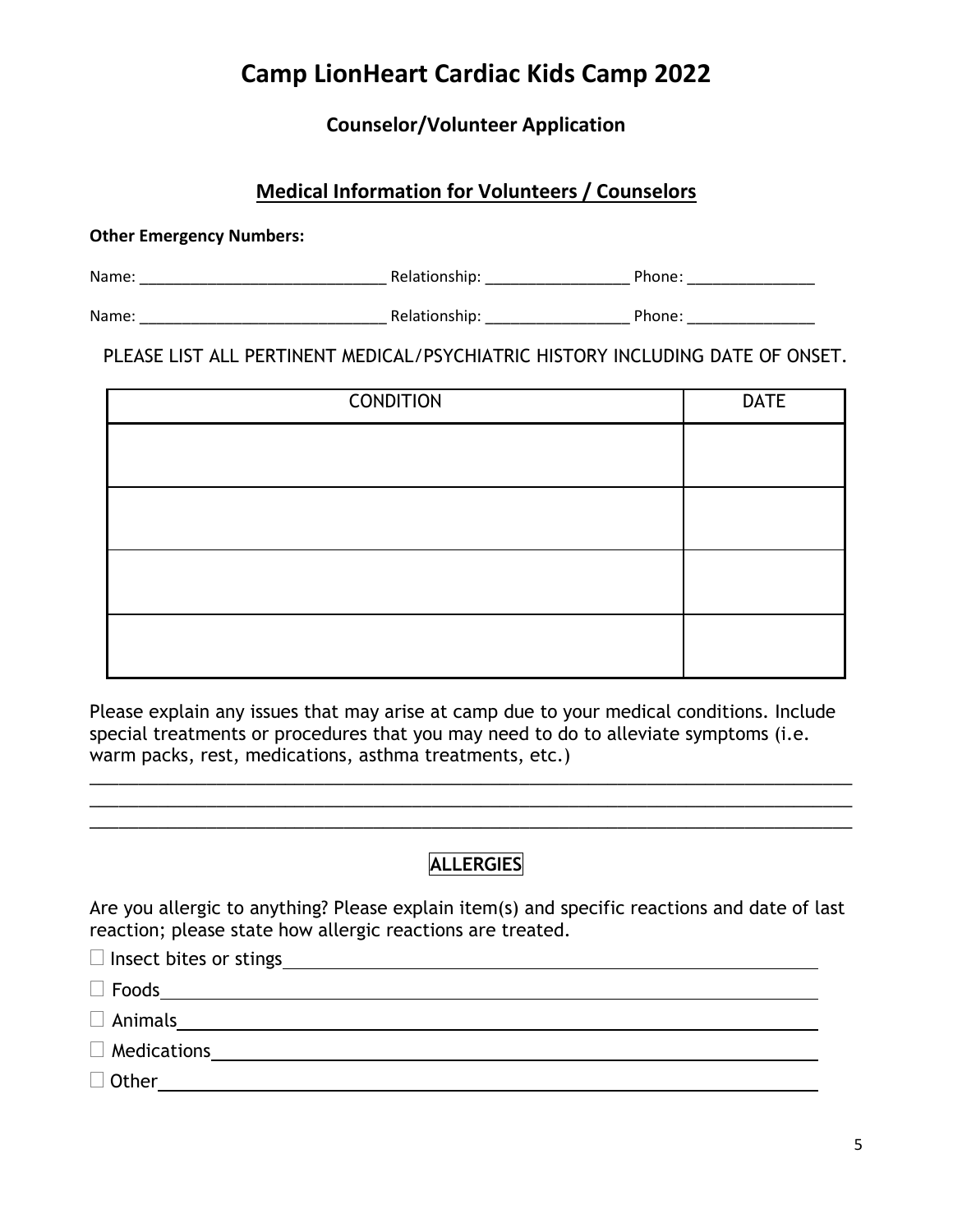## **Counselor/Volunteer Application**

# **Medical Information for Volunteers / Counselors**

#### **Other Emergency Numbers:**

| Name | $-1$ |  |
|------|------|--|
|      |      |  |

Name: \_\_\_\_\_\_\_\_\_\_\_\_\_\_\_\_\_\_\_\_\_\_\_\_\_\_\_\_\_ Relationship: \_\_\_\_\_\_\_\_\_\_\_\_\_\_\_\_\_ Phone: \_\_\_\_\_\_\_\_\_\_\_\_\_\_\_

PLEASE LIST ALL PERTINENT MEDICAL/PSYCHIATRIC HISTORY INCLUDING DATE OF ONSET.

| <b>CONDITION</b> | <b>DATE</b> |
|------------------|-------------|
|                  |             |
|                  |             |
|                  |             |
|                  |             |
|                  |             |
|                  |             |
|                  |             |
|                  |             |

Please explain any issues that may arise at camp due to your medical conditions. Include special treatments or procedures that you may need to do to alleviate symptoms (i.e. warm packs, rest, medications, asthma treatments, etc.)

\_\_\_\_\_\_\_\_\_\_\_\_\_\_\_\_\_\_\_\_\_\_\_\_\_\_\_\_\_\_\_\_\_\_\_\_\_\_\_\_\_\_\_\_\_\_\_\_\_\_\_\_\_\_\_\_\_\_\_\_\_\_\_\_\_\_\_\_\_\_\_\_\_\_\_\_\_\_ \_\_\_\_\_\_\_\_\_\_\_\_\_\_\_\_\_\_\_\_\_\_\_\_\_\_\_\_\_\_\_\_\_\_\_\_\_\_\_\_\_\_\_\_\_\_\_\_\_\_\_\_\_\_\_\_\_\_\_\_\_\_\_\_\_\_\_\_\_\_\_\_\_\_\_\_\_\_ \_\_\_\_\_\_\_\_\_\_\_\_\_\_\_\_\_\_\_\_\_\_\_\_\_\_\_\_\_\_\_\_\_\_\_\_\_\_\_\_\_\_\_\_\_\_\_\_\_\_\_\_\_\_\_\_\_\_\_\_\_\_\_\_\_\_\_\_\_\_\_\_\_\_\_\_\_\_

## **ALLERGIES**

Are you allergic to anything? Please explain item(s) and specific reactions and date of last reaction; please state how allergic reactions are treated.

| $\Box$ Insect bites or stings<br><u>and the state of the state of the state of the state of the state of the state of the state of the state of th</u> |
|--------------------------------------------------------------------------------------------------------------------------------------------------------|
| $\Box$ Foods                                                                                                                                           |
| $\Box$ Animals                                                                                                                                         |
| $\Box$ Medications                                                                                                                                     |
| $\Box$ Other                                                                                                                                           |